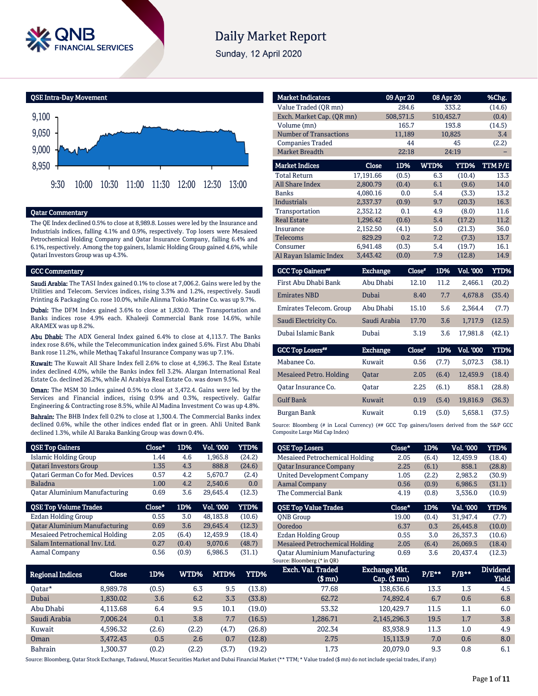

# **Daily Market Report**

Sunday, 12 April 2020



#### Qatar Commentary

The QE Index declined 0.5% to close at 8,989.8. Losses were led by the Insurance and Industrials indices, falling 4.1% and 0.9%, respectively. Top losers were Mesaieed Petrochemical Holding Company and Qatar Insurance Company, falling 6.4% and 6.1%, respectively. Among the top gainers, Islamic Holding Group gained 4.6%, while Qatari Investors Group was up 4.3%.

#### GCC Commentary

Saudi Arabia: The TASI Index gained 0.1% to close at 7,006.2. Gains were led by the Utilities and Telecom. Services indices, rising 3.3% and 1.2%, respectively. Saudi Printing & Packaging Co. rose 10.0%, while Alinma Tokio Marine Co. was up 9.7%.

Dubai: The DFM Index gained 3.6% to close at 1,830.0. The Transportation and Banks indices rose 4.9% each. Khaleeji Commercial Bank rose 14.6%, while ARAMEX was up 8.2%.

Abu Dhabi: The ADX General Index gained 6.4% to close at 4,113.7. The Banks index rose 8.6%, while the Telecommunication index gained 5.6%. First Abu Dhabi Bank rose 11.2%, while Methaq Takaful Insurance Company was up 7.1%.

Kuwait: The Kuwait All Share Index fell 2.6% to close at 4,596.3. The Real Estate index declined 4.0%, while the Banks index fell 3.2%. Alargan International Real Estate Co. declined 26.2%, while Al Arabiya Real Estate Co. was down 9.5%.

Oman: The MSM 30 Index gained 0.5% to close at 3,472.4. Gains were led by the Services and Financial indices, rising 0.9% and 0.3%, respectively. Galfar Engineering & Contracting rose 8.5%, while Al Madina Investment Co was up 4.8%.

Bahrain: The BHB Index fell 0.2% to close at 1,300.4. The Commercial Banks index declined 0.6%, while the other indices ended flat or in green. Ahli United Bank declined 1.3%, while Al Baraka Banking Group was down 0.4%.

| <b>QSE Top Gainers</b>                   | Close* | 1D%   | <b>Vol. '000</b> | <b>YTD%</b> |
|------------------------------------------|--------|-------|------------------|-------------|
| Islamic Holding Group                    | 1.44   | 4.6   | 1,965.8          | (24.2)      |
| <b>Oatari Investors Group</b>            | 1.35   | 4.3   | 888.8            | (24.6)      |
| <b>Qatari German Co for Med. Devices</b> | 0.57   | 4.2   | 5,670.7          | (2.4)       |
| <b>Baladna</b>                           | 1.00   | 4.2   | 2,540.6          | 0.0         |
| <b>Qatar Aluminium Manufacturing</b>     | 0.69   | 3.6   | 29.645.4         | (12.3)      |
|                                          |        |       |                  |             |
| <b>QSE Top Volume Trades</b>             | Close* | 1D%   | Vol. '000        | YTD%        |
| Ezdan Holding Group                      | 0.55   | 3.0   | 48.183.8         | (10.6)      |
| <b>Qatar Aluminium Manufacturing</b>     | 0.69   | 3.6   | 29.645.4         | (12.3)      |
| Mesaieed Petrochemical Holding           | 2.05   | (6.4) | 12.459.9         | (18.4)      |
| Salam International Inv. Ltd.            | 0.27   | (0.4) | 9.070.6          | (48.7)      |

| <b>Market Indicators</b>      |                 | 09 Apr 20 |               | 08 Apr 20        | %Chg.       |
|-------------------------------|-----------------|-----------|---------------|------------------|-------------|
| Value Traded (OR mn)          |                 | 284.6     |               | 333.2            | (14.6)      |
| Exch. Market Cap. (QR mn)     |                 | 508,571.5 | 510,452.7     |                  | (0.4)       |
| Volume (mn)                   |                 | 165.7     |               | 193.8            | (14.5)      |
| <b>Number of Transactions</b> |                 | 11,189    |               | 10,825           | 3.4         |
| <b>Companies Traded</b>       |                 | 44        |               | 45               | (2.2)       |
| <b>Market Breadth</b>         |                 | 22:18     |               | 24:19            |             |
| <b>Market Indices</b>         | Close           | 1D%       | WTD%          | YTD%             | TTMP/E      |
| <b>Total Return</b>           | 17,191.66       | (0.5)     | 6.3           | (10.4)           | 13.3        |
| <b>All Share Index</b>        | 2,800.79        | (0.4)     | 6.1           | (9.6)            | 14.0        |
| <b>Banks</b>                  | 4.080.16        | 0.0       | 5.4           | (3.3)            | 13.2        |
| <b>Industrials</b>            | 2,337.37        | (0.9)     | 9.7           | (20.3)           | 16.3        |
| Transportation                | 2,352.12        | 0.1       | 4.9           | (8.0)            | 11.6        |
| <b>Real Estate</b>            | 1,296.42        | (0.6)     | 5.4           | (17.2)           | 11.2        |
| Insurance                     | 2,152.50        | (4.1)     | 5.0           | (21.3)           | 36.0        |
| <b>Telecoms</b>               | 829.29          | 0.2       | 7.2           | (7.3)            | 13.7        |
| Consumer                      | 6,941.48        | (0.3)     | 5.4           | (19.7)           | 16.1        |
| Al Rayan Islamic Index        | 3,443.42        | (0.0)     | 7.9           | (12.8)           | 14.9        |
| <b>GCC Top Gainers**</b>      | <b>Exchange</b> |           | 1D%<br>Close" | <b>Vol. '000</b> | <b>YTD%</b> |

| <b>OUL TOP GALICES</b>  | <b>LAURE</b> | uwa   | 11/0 | vu. vuu  | 11. <i>D</i> 70 |
|-------------------------|--------------|-------|------|----------|-----------------|
| First Abu Dhabi Bank    | Abu Dhabi    | 12.10 | 11.2 | 2.466.1  | (20.2)          |
| <b>Emirates NBD</b>     | Dubai        | 8.40  | 7.7  | 4.678.8  | (35.4)          |
| Emirates Telecom. Group | Abu Dhabi    | 15.10 | 5.6  | 2.364.4  | (7.7)           |
| Saudi Electricity Co.   | Saudi Arabia | 17.70 | 3.6  | 1.717.9  | (12.5)          |
| Dubai Islamic Bank      | Dubai        | 3.19  | 3.6  | 17,981.8 | (42.1)          |

| <b>GCC Top Losers</b> " | <b>Exchange</b> | Close" |       | 1D% Vol. 000 | YTD%   |
|-------------------------|-----------------|--------|-------|--------------|--------|
| Mabanee Co.             | Kuwait          | 0.56   | (7.7) | 5.072.3      | (38.1) |
| Mesaieed Petro. Holding | <b>Oatar</b>    | 2.05   | (6.4) | 12.459.9     | (18.4) |
| Oatar Insurance Co.     | Oatar           | 2.25   | (6.1) | 858.1        | (28.8) |
| <b>Gulf Bank</b>        | Kuwait          | 0.19   | (5.4) | 19,816.9     | (36.3) |
| Burgan Bank             | Kuwait          | 0.19   | (5.0) | 5.658.1      | (37.5) |

Source: Bloomberg (# in Local Currency) (## GCC Top gainers/losers derived from the S&P GCC Composite Large Mid Cap Index)

| <b>QSE Top Losers</b>                 | Close* | 1D%   | <b>Vol. '000</b> | YTD%        |
|---------------------------------------|--------|-------|------------------|-------------|
| <b>Mesaieed Petrochemical Holding</b> | 2.05   | (6.4) | 12,459.9         | (18.4)      |
| <b>Oatar Insurance Company</b>        | 2.25   | (6.1) | 858.1            | (28.8)      |
| <b>United Development Company</b>     | 1.05   | (2.2) | 2.983.2          | (30.9)      |
| <b>Aamal Company</b>                  | 0.56   | (0.9) | 6,986.5          | (31.1)      |
| The Commercial Bank                   | 4.19   | (0.8) | 3,536.0          | (10.9)      |
|                                       |        |       |                  |             |
|                                       |        |       |                  |             |
| <b>OSE Top Value Trades</b>           | Close* | 1D%   | Val. '000        | <b>YTD%</b> |
| <b>ONB</b> Group                      | 19.00  | (0.4) | 31.947.4         | (7.7)       |
| Ooredoo                               | 6.37   | 0.3   | 26,445.8         | (10.0)      |
| Ezdan Holding Group                   | 0.55   | 3.0   | 26.357.3         | (10.6)      |
| <b>Mesaieed Petrochemical Holding</b> | 2.05   | (6.4) | 26.069.5         | (18.4)      |

| Regional Indices | Close    | 1D%   | WTD%  | MTD%  | YTD%   | Exch. Val. Traded<br>(\$ mn) | <b>Exchange Mkt.</b><br>$Cap.$ (\$ mn) | $P/E***$ | $P/B***$ | <b>Dividend</b><br><b>Yield</b> |
|------------------|----------|-------|-------|-------|--------|------------------------------|----------------------------------------|----------|----------|---------------------------------|
| Oatar*           | 8.989.78 | (0.5) | 6.3   | 9.5   | (13.8) | 77.68                        | 138,636.6                              | 13.3     | 1.3      | 4.5                             |
| Dubai            | 1.830.02 | 3.6   | 6.2   | 3.3   | (33.8) | 62.72                        | 74.892.4                               | 6.7      | 0.6      | 6.8                             |
| Abu Dhabi        | 4.113.68 | 6.4   | 9.5   | 10.1  | (19.0) | 53.32                        | 120.429.7                              | 11.5     | $1.1\,$  | 6.0                             |
| Saudi Arabia     | 7.006.24 | 0.1   | 3.8   | 7.7   | (16.5) | 1,286.71                     | 2,145,296.3                            | 19.5     | 1.7      | 3.8                             |
| Kuwait           | 4,596.32 | (2.6) | (2.2) | (4.7) | (26.8) | 202.34                       | 83.938.9                               | 11.3     | 1.0      | 4.9                             |
| Oman             | 3.472.43 | 0.5   | 2.6   | 0.7   | (12.8) | 2.75                         | 15.113.9                               | 7.0      | 0.6      | 8.0                             |
| <b>Bahrain</b>   | L.300.37 | (0.2) | (2.2) | (3.7) | (19.2) | 1.73                         | 20.079.0                               | 9.3      | 0.8      | 6.1                             |

Source: Bloomberg, Qatar Stock Exchange, Tadawul, Muscat Securities Market and Dubai Financial Market (\*\* TTM; \* Value traded (\$ mn) do not include special trades, if any)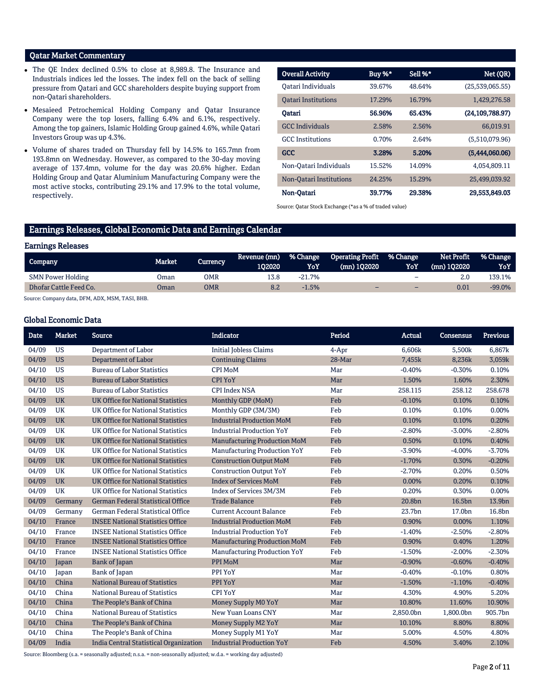## Qatar Market Commentary

- The QE Index declined 0.5% to close at 8,989.8. The Insurance and Industrials indices led the losses. The index fell on the back of selling pressure from Qatari and GCC shareholders despite buying support from non-Qatari shareholders.
- Mesaieed Petrochemical Holding Company and Qatar Insurance Company were the top losers, falling 6.4% and 6.1%, respectively. Among the top gainers, Islamic Holding Group gained 4.6%, while Qatari Investors Group was up 4.3%.
- Volume of shares traded on Thursday fell by 14.5% to 165.7mn from 193.8mn on Wednesday. However, as compared to the 30-day moving average of 137.4mn, volume for the day was 20.6% higher. Ezdan Holding Group and Qatar Aluminium Manufacturing Company were the most active stocks, contributing 29.1% and 17.9% to the total volume, respectively.

| <b>Overall Activity</b>    | Buy %* | Sell %* | Net (QR)        |
|----------------------------|--------|---------|-----------------|
| Oatari Individuals         | 39.67% | 48.64%  | (25,539,065.55) |
| <b>Oatari Institutions</b> | 17.29% | 16.79%  | 1,429,276.58    |
| Oatari                     | 56.96% | 65.43%  | (24.109.788.97) |
| <b>GCC</b> Individuals     | 2.58%  | 2.56%   | 66.019.91       |
| <b>GCC</b> Institutions    | 0.70%  | 2.64%   | (5,510,079.96)  |
| <b>GCC</b>                 | 3.28%  | 5.20%   | (5,444,060.06)  |
| Non-Oatari Individuals     | 15.52% | 14.09%  | 4,054,809.11    |
| Non-Oatari Institutions    | 24.25% | 15.29%  | 25,499,039.92   |
| Non-Oatari                 | 39.77% | 29.38%  | 29.553.849.03   |

Source: Qatar Stock Exchange (\*as a % of traded value)

## Earnings Releases, Global Economic Data and Earnings Calendar

#### Earnings Releases

| Company                  | <b>Market</b> | Currency | Revenue (mn)<br>102020 | <b>% Change</b><br>YoY | Operating Profit % Change<br>(mn) 102020 | YoY                      | Net Profit<br>$(mn)$ 102020 | % Change<br>YoY |
|--------------------------|---------------|----------|------------------------|------------------------|------------------------------------------|--------------------------|-----------------------------|-----------------|
| <b>SMN Power Holding</b> | Oman          | OMR      | 13.8                   | $-21.7%$               |                                          | -                        |                             | 139.1%          |
| Dhofar Cattle Feed Co.   | Oman          | OMR      | 8.2                    | $-1.5%$                | -                                        | $\overline{\phantom{0}}$ | 0.01                        | $-99.0%$        |
|                          |               |          |                        |                        |                                          |                          |                             |                 |

Source: Company data, DFM, ADX, MSM, TASI, BHB.

#### Global Economic Data

| Date  | <b>Market</b> | <b>Source</b>                            | <b>Indicator</b>                    | Period | <b>Actual</b> | Consensus | <b>Previous</b> |
|-------|---------------|------------------------------------------|-------------------------------------|--------|---------------|-----------|-----------------|
| 04/09 | <b>US</b>     | Department of Labor                      | <b>Initial Jobless Claims</b>       | 4-Apr  | 6,606k        | 5,500k    | 6,867k          |
| 04/09 | <b>US</b>     | Department of Labor                      | <b>Continuing Claims</b>            | 28-Mar | 7,455k        | 8,236k    | 3,059k          |
| 04/10 | <b>US</b>     | <b>Bureau of Labor Statistics</b>        | CPI MoM                             | Mar    | $-0.40%$      | $-0.30%$  | 0.10%           |
| 04/10 | <b>US</b>     | <b>Bureau of Labor Statistics</b>        | <b>CPI YoY</b>                      | Mar    | 1.50%         | 1.60%     | 2.30%           |
| 04/10 | US            | <b>Bureau of Labor Statistics</b>        | <b>CPI Index NSA</b>                | Mar    | 258.115       | 258.12    | 258.678         |
| 04/09 | <b>UK</b>     | <b>UK Office for National Statistics</b> | Monthly GDP (MoM)                   | Feb    | $-0.10%$      | 0.10%     | 0.10%           |
| 04/09 | UK            | UK Office for National Statistics        | Monthly GDP (3M/3M)                 | Feb    | 0.10%         | 0.10%     | 0.00%           |
| 04/09 | <b>UK</b>     | <b>UK Office for National Statistics</b> | <b>Industrial Production MoM</b>    | Feb    | 0.10%         | 0.10%     | 0.20%           |
| 04/09 | <b>UK</b>     | UK Office for National Statistics        | <b>Industrial Production YoY</b>    | Feb    | $-2.80%$      | $-3.00%$  | $-2.80%$        |
| 04/09 | <b>UK</b>     | <b>UK Office for National Statistics</b> | <b>Manufacturing Production MoM</b> | Feb    | 0.50%         | 0.10%     | 0.40%           |
| 04/09 | <b>UK</b>     | UK Office for National Statistics        | Manufacturing Production YoY        | Feb    | $-3.90%$      | $-4.00%$  | $-3.70%$        |
| 04/09 | <b>UK</b>     | <b>UK Office for National Statistics</b> | <b>Construction Output MoM</b>      | Feb    | $-1.70%$      | 0.30%     | $-0.20%$        |
| 04/09 | <b>UK</b>     | UK Office for National Statistics        | <b>Construction Output YoY</b>      | Feb    | $-2.70%$      | 0.20%     | 0.50%           |
| 04/09 | <b>UK</b>     | <b>UK Office for National Statistics</b> | <b>Index of Services MoM</b>        | Feb    | 0.00%         | 0.20%     | 0.10%           |
| 04/09 | UK            | UK Office for National Statistics        | Index of Services 3M/3M             | Feb    | 0.20%         | 0.30%     | 0.00%           |
| 04/09 | Germany       | <b>German Federal Statistical Office</b> | <b>Trade Balance</b>                | Feb    | 20.8bn        | 16.5bn    | 13.9bn          |
| 04/09 | Germany       | German Federal Statistical Office        | <b>Current Account Balance</b>      | Feb    | 23.7bn        | 17.0bn    | 16.8bn          |
| 04/10 | France        | <b>INSEE National Statistics Office</b>  | <b>Industrial Production MoM</b>    | Feb    | 0.90%         | 0.00%     | 1.10%           |
| 04/10 | France        | <b>INSEE National Statistics Office</b>  | <b>Industrial Production YoY</b>    | Feb    | $-1.40%$      | $-2.50%$  | $-2.80%$        |
| 04/10 | France        | <b>INSEE National Statistics Office</b>  | <b>Manufacturing Production MoM</b> | Feb    | 0.90%         | 0.40%     | 1.20%           |
| 04/10 | France        | <b>INSEE National Statistics Office</b>  | <b>Manufacturing Production YoY</b> | Feb    | $-1.50%$      | $-2.00%$  | $-2.30%$        |
| 04/10 | Japan         | <b>Bank of Japan</b>                     | PPI MoM                             | Mar    | $-0.90%$      | $-0.60%$  | $-0.40%$        |
| 04/10 | Japan         | Bank of Japan                            | PPI YoY                             | Mar    | $-0.40%$      | $-0.10%$  | 0.80%           |
| 04/10 | China         | <b>National Bureau of Statistics</b>     | PPI YoY                             | Mar    | $-1.50%$      | $-1.10%$  | $-0.40%$        |
| 04/10 | China         | National Bureau of Statistics            | <b>CPI YoY</b>                      | Mar    | 4.30%         | 4.90%     | 5.20%           |
| 04/10 | China         | The People's Bank of China               | Money Supply M0 YoY                 | Mar    | 10.80%        | 11.60%    | 10.90%          |
| 04/10 | China         | National Bureau of Statistics            | New Yuan Loans CNY                  | Mar    | 2,850.0bn     | 1,800.0bn | 905.7bn         |
| 04/10 | China         | The People's Bank of China               | Money Supply M2 YoY                 | Mar    | 10.10%        | 8.80%     | 8.80%           |
| 04/10 | China         | The People's Bank of China               | Money Supply M1 YoY                 | Mar    | 5.00%         | 4.50%     | 4.80%           |
| 04/09 | India         | India Central Statistical Organization   | <b>Industrial Production YoY</b>    | Feb    | 4.50%         | 3.40%     | 2.10%           |

Source: Bloomberg (s.a. = seasonally adjusted; n.s.a. = non-seasonally adjusted; w.d.a. = working day adjusted)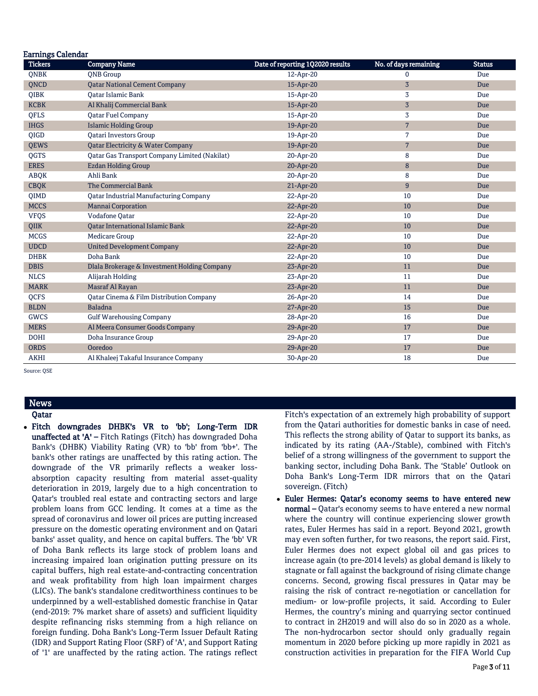| <b>Earnings Calendar</b> |                                                      |                                  |                       |               |
|--------------------------|------------------------------------------------------|----------------------------------|-----------------------|---------------|
| <b>Tickers</b>           | <b>Company Name</b>                                  | Date of reporting 1Q2020 results | No. of days remaining | <b>Status</b> |
| QNBK                     | <b>QNB</b> Group                                     | 12-Apr-20                        | $\mathbf{0}$          | Due           |
| QNCD                     | <b>Qatar National Cement Company</b>                 | 15-Apr-20                        | $\sqrt{3}$            | Due           |
| QIBK                     | <b>Oatar Islamic Bank</b>                            | 15-Apr-20                        | 3                     | Due           |
| <b>KCBK</b>              | Al Khalij Commercial Bank                            | 15-Apr-20                        | $\sqrt{3}$            | Due           |
| <b>OFLS</b>              | <b>Qatar Fuel Company</b>                            | 15-Apr-20                        | 3                     | Due           |
| <b>IHGS</b>              | <b>Islamic Holding Group</b>                         | 19-Apr-20                        | 7                     | Due           |
| QIGD                     | <b>Qatari Investors Group</b>                        | 19-Apr-20                        | 7                     | Due           |
| <b>QEWS</b>              | <b>Qatar Electricity &amp; Water Company</b>         | 19-Apr-20                        | $\overline{7}$        | Due           |
| QGTS                     | <b>Qatar Gas Transport Company Limited (Nakilat)</b> | 20-Apr-20                        | 8                     | Due           |
| <b>ERES</b>              | <b>Ezdan Holding Group</b>                           | 20-Apr-20                        | 8                     | Due           |
| <b>ABQK</b>              | Ahli Bank                                            | 20-Apr-20                        | 8                     | Due           |
| <b>CBQK</b>              | <b>The Commercial Bank</b>                           | 21-Apr-20                        | 9                     | Due           |
| <b>OIMD</b>              | Qatar Industrial Manufacturing Company               | 22-Apr-20                        | 10                    | Due           |
| <b>MCCS</b>              | Mannai Corporation                                   | 22-Apr-20                        | 10                    | Due           |
| <b>VFQS</b>              | <b>Vodafone Oatar</b>                                | 22-Apr-20                        | 10                    | Due           |
| QIIK                     | <b>Qatar International Islamic Bank</b>              | 22-Apr-20                        | 10                    | Due           |
| <b>MCGS</b>              | <b>Medicare Group</b>                                | 22-Apr-20                        | 10                    | Due           |
| <b>UDCD</b>              | <b>United Development Company</b>                    | 22-Apr-20                        | 10                    | Due           |
| <b>DHBK</b>              | Doha Bank                                            | 22-Apr-20                        | 10                    | Due           |
| <b>DBIS</b>              | Dlala Brokerage & Investment Holding Company         | 23-Apr-20                        | 11                    | Due           |
| <b>NLCS</b>              | Alijarah Holding                                     | 23-Apr-20                        | 11                    | Due           |
| <b>MARK</b>              | <b>Masraf Al Rayan</b>                               | 23-Apr-20                        | 11                    | Due           |
| QCFS                     | Qatar Cinema & Film Distribution Company             | 26-Apr-20                        | 14                    | Due           |
| <b>BLDN</b>              | <b>Baladna</b>                                       | 27-Apr-20                        | 15                    | Due           |
| <b>GWCS</b>              | <b>Gulf Warehousing Company</b>                      | 28-Apr-20                        | 16                    | Due           |
| <b>MERS</b>              | Al Meera Consumer Goods Company                      | 29-Apr-20                        | 17                    | Due           |
| <b>DOHI</b>              | Doha Insurance Group                                 | 29-Apr-20                        | 17                    | Due           |
| <b>ORDS</b>              | Ooredoo                                              | 29-Apr-20                        | 17                    | Due           |
| <b>AKHI</b>              | Al Khaleej Takaful Insurance Company                 | 30-Apr-20                        | 18                    | Due           |

Source: QSE

## News

### Qatar

 Fitch downgrades DHBK's VR to 'bb'; Long-Term IDR unaffected at 'A' – Fitch Ratings (Fitch) has downgraded Doha Bank's (DHBK) Viability Rating (VR) to 'bb' from 'bb+'. The bank's other ratings are unaffected by this rating action. The downgrade of the VR primarily reflects a weaker lossabsorption capacity resulting from material asset-quality deterioration in 2019, largely due to a high concentration to Qatar's troubled real estate and contracting sectors and large problem loans from GCC lending. It comes at a time as the spread of coronavirus and lower oil prices are putting increased pressure on the domestic operating environment and on Qatari banks' asset quality, and hence on capital buffers. The 'bb' VR of Doha Bank reflects its large stock of problem loans and increasing impaired loan origination putting pressure on its capital buffers, high real estate-and-contracting concentration and weak profitability from high loan impairment charges (LICs). The bank's standalone creditworthiness continues to be underpinned by a well-established domestic franchise in Qatar (end-2019: 7% market share of assets) and sufficient liquidity despite refinancing risks stemming from a high reliance on foreign funding. Doha Bank's Long-Term Issuer Default Rating (IDR) and Support Rating Floor (SRF) of 'A', and Support Rating of '1' are unaffected by the rating action. The ratings reflect

Fitch's expectation of an extremely high probability of support from the Qatari authorities for domestic banks in case of need. This reflects the strong ability of Qatar to support its banks, as indicated by its rating (AA-/Stable), combined with Fitch's belief of a strong willingness of the government to support the banking sector, including Doha Bank. The 'Stable' Outlook on Doha Bank's Long-Term IDR mirrors that on the Qatari sovereign. (Fitch)

 Euler Hermes: Qatar's economy seems to have entered new normal – Qatar's economy seems to have entered a new normal where the country will continue experiencing slower growth rates, Euler Hermes has said in a report. Beyond 2021, growth may even soften further, for two reasons, the report said. First, Euler Hermes does not expect global oil and gas prices to increase again (to pre-2014 levels) as global demand is likely to stagnate or fall against the background of rising climate change concerns. Second, growing fiscal pressures in Qatar may be raising the risk of contract re-negotiation or cancellation for medium- or low-profile projects, it said. According to Euler Hermes, the country's mining and quarrying sector continued to contract in 2H2019 and will also do so in 2020 as a whole. The non-hydrocarbon sector should only gradually regain momentum in 2020 before picking up more rapidly in 2021 as construction activities in preparation for the FIFA World Cup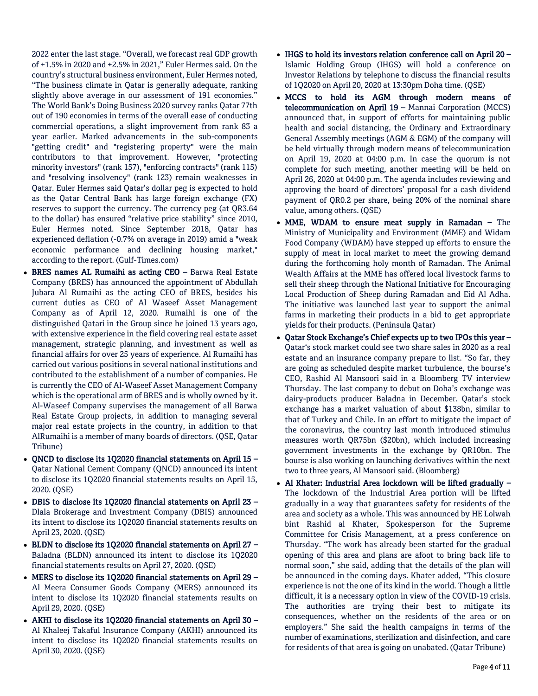2022 enter the last stage. "Overall, we forecast real GDP growth of +1.5% in 2020 and +2.5% in 2021," Euler Hermes said. On the country's structural business environment, Euler Hermes noted, "The business climate in Qatar is generally adequate, ranking slightly above average in our assessment of 191 economies." The World Bank's Doing Business 2020 survey ranks Qatar 77th out of 190 economies in terms of the overall ease of conducting commercial operations, a slight improvement from rank 83 a year earlier. Marked advancements in the sub-components "getting credit" and "registering property" were the main contributors to that improvement. However, "protecting minority investors" (rank 157), "enforcing contracts" (rank 115) and "resolving insolvency" (rank 123) remain weaknesses in Qatar. Euler Hermes said Qatar's dollar peg is expected to hold as the Qatar Central Bank has large foreign exchange (FX) reserves to support the currency. The currency peg (at QR3.64 to the dollar) has ensured "relative price stability" since 2010, Euler Hermes noted. Since September 2018, Qatar has experienced deflation (-0.7% on average in 2019) amid a "weak economic performance and declining housing market," according to the report. (Gulf-Times.com)

- BRES names AL Rumaihi as acting CEO Barwa Real Estate Company (BRES) has announced the appointment of Abdullah Jubara Al Rumaihi as the acting CEO of BRES, besides his current duties as CEO of Al Waseef Asset Management Company as of April 12, 2020. Rumaihi is one of the distinguished Qatari in the Group since he joined 13 years ago, with extensive experience in the field covering real estate asset management, strategic planning, and investment as well as financial affairs for over 25 years of experience. Al Rumaihi has carried out various positions in several national institutions and contributed to the establishment of a number of companies. He is currently the CEO of Al-Waseef Asset Management Company which is the operational arm of BRES and is wholly owned by it. Al-Waseef Company supervises the management of all Barwa Real Estate Group projects, in addition to managing several major real estate projects in the country, in addition to that AlRumaihi is a member of many boards of directors. (QSE, Qatar Tribune)
- QNCD to disclose its 1Q2020 financial statements on April 15 Qatar National Cement Company (QNCD) announced its intent to disclose its 1Q2020 financial statements results on April 15, 2020. (QSE)
- DBIS to disclose its 1Q2020 financial statements on April 23 Dlala Brokerage and Investment Company (DBIS) announced its intent to disclose its 1Q2020 financial statements results on April 23, 2020. (QSE)
- BLDN to disclose its 1Q2020 financial statements on April 27 Baladna (BLDN) announced its intent to disclose its 1Q2020 financial statements results on April 27, 2020. (QSE)
- MERS to disclose its 1Q2020 financial statements on April 29 Al Meera Consumer Goods Company (MERS) announced its intent to disclose its 1Q2020 financial statements results on April 29, 2020. (QSE)
- AKHI to disclose its 1Q2020 financial statements on April 30 Al Khaleej Takaful Insurance Company (AKHI) announced its intent to disclose its 1Q2020 financial statements results on April 30, 2020. (QSE)
- IHGS to hold its investors relation conference call on April 20 Islamic Holding Group (IHGS) will hold a conference on Investor Relations by telephone to discuss the financial results of 1Q2020 on April 20, 2020 at 13:30pm Doha time. (QSE)
- MCCS to hold its AGM through modern means of telecommunication on April 19 – Mannai Corporation (MCCS) announced that, in support of efforts for maintaining public health and social distancing, the Ordinary and Extraordinary General Assembly meetings (AGM & EGM) of the company will be held virtually through modern means of telecommunication on April 19, 2020 at 04:00 p.m. In case the quorum is not complete for such meeting, another meeting will be held on April 26, 2020 at 04:00 p.m. The agenda includes reviewing and approving the board of directors' proposal for a cash dividend payment of QR0.2 per share, being 20% of the nominal share value, among others. (QSE)
- MME, WDAM to ensure meat supply in Ramadan The Ministry of Municipality and Environment (MME) and Widam Food Company (WDAM) have stepped up efforts to ensure the supply of meat in local market to meet the growing demand during the forthcoming holy month of Ramadan. The Animal Wealth Affairs at the MME has offered local livestock farms to sell their sheep through the National Initiative for Encouraging Local Production of Sheep during Ramadan and Eid Al Adha. The initiative was launched last year to support the animal farms in marketing their products in a bid to get appropriate yields for their products. (Peninsula Qatar)
- Qatar Stock Exchange's Chief expects up to two IPOs this year Qatar's stock market could see two share sales in 2020 as a real estate and an insurance company prepare to list. "So far, they are going as scheduled despite market turbulence, the bourse's CEO, Rashid Al Mansoori said in a Bloomberg TV interview Thursday. The last company to debut on Doha's exchange was dairy-products producer Baladna in December. Qatar's stock exchange has a market valuation of about \$138bn, similar to that of Turkey and Chile. In an effort to mitigate the impact of the coronavirus, the country last month introduced stimulus measures worth QR75bn (\$20bn), which included increasing government investments in the exchange by QR10bn. The bourse is also working on launching derivatives within the next two to three years, Al Mansoori said. (Bloomberg)
- Al Khater: Industrial Area lockdown will be lifted gradually The lockdown of the Industrial Area portion will be lifted gradually in a way that guarantees safety for residents of the area and society as a whole. This was announced by HE Lolwah bint Rashid al Khater, Spokesperson for the Supreme Committee for Crisis Management, at a press conference on Thursday. "The work has already been started for the gradual opening of this area and plans are afoot to bring back life to normal soon," she said, adding that the details of the plan will be announced in the coming days. Khater added, "This closure experience is not the one of its kind in the world. Though a little difficult, it is a necessary option in view of the COVID-19 crisis. The authorities are trying their best to mitigate its consequences, whether on the residents of the area or on employers." She said the health campaigns in terms of the number of examinations, sterilization and disinfection, and care for residents of that area is going on unabated. (Qatar Tribune)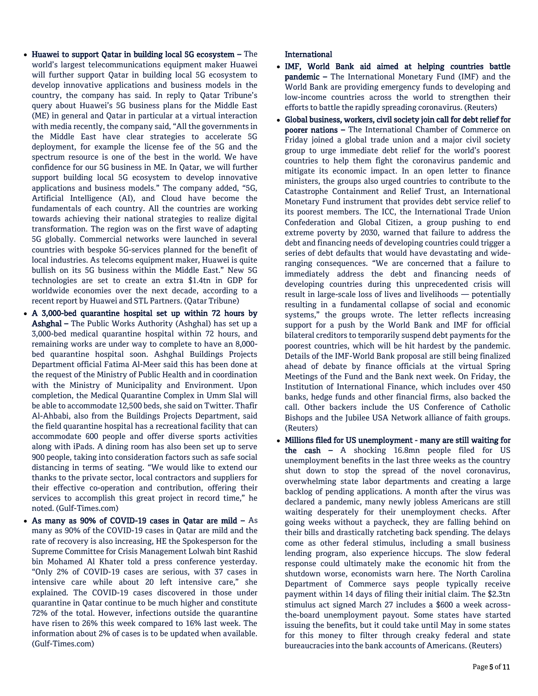- Huawei to support Qatar in building local 5G ecosystem The world's largest telecommunications equipment maker Huawei will further support Qatar in building local 5G ecosystem to develop innovative applications and business models in the country, the company has said. In reply to Qatar Tribune's query about Huawei's 5G business plans for the Middle East (ME) in general and Qatar in particular at a virtual interaction with media recently, the company said, "All the governments in the Middle East have clear strategies to accelerate 5G deployment, for example the license fee of the 5G and the spectrum resource is one of the best in the world. We have confidence for our 5G business in ME. In Qatar, we will further support building local 5G ecosystem to develop innovative applications and business models." The company added, "5G, Artificial Intelligence (AI), and Cloud have become the fundamentals of each country. All the countries are working towards achieving their national strategies to realize digital transformation. The region was on the first wave of adapting 5G globally. Commercial networks were launched in several countries with bespoke 5G-services planned for the benefit of local industries. As telecoms equipment maker, Huawei is quite bullish on its 5G business within the Middle East." New 5G technologies are set to create an extra \$1.4tn in GDP for worldwide economies over the next decade, according to a recent report by Huawei and STL Partners. (Qatar Tribune)
- A 3,000-bed quarantine hospital set up within 72 hours by Ashghal - The Public Works Authority (Ashghal) has set up a 3,000-bed medical quarantine hospital within 72 hours, and remaining works are under way to complete to have an 8,000 bed quarantine hospital soon. Ashghal Buildings Projects Department official Fatima Al-Meer said this has been done at the request of the Ministry of Public Health and in coordination with the Ministry of Municipality and Environment. Upon completion, the Medical Quarantine Complex in Umm Slal will be able to accommodate 12,500 beds, she said on Twitter. Thafir Al-Ahbabi, also from the Buildings Projects Department, said the field quarantine hospital has a recreational facility that can accommodate 600 people and offer diverse sports activities along with iPads. A dining room has also been set up to serve 900 people, taking into consideration factors such as safe social distancing in terms of seating. "We would like to extend our thanks to the private sector, local contractors and suppliers for their effective co-operation and contribution, offering their services to accomplish this great project in record time," he noted. (Gulf-Times.com)
- As many as 90% of COVID-19 cases in Qatar are mild As many as 90% of the COVID-19 cases in Qatar are mild and the rate of recovery is also increasing, HE the Spokesperson for the Supreme Committee for Crisis Management Lolwah bint Rashid bin Mohamed Al Khater told a press conference yesterday. "Only 2% of COVID-19 cases are serious, with 37 cases in intensive care while about 20 left intensive care," she explained. The COVID-19 cases discovered in those under quarantine in Qatar continue to be much higher and constitute 72% of the total. However, infections outside the quarantine have risen to 26% this week compared to 16% last week. The information about 2% of cases is to be updated when available. (Gulf-Times.com)

### **International**

- IMF, World Bank aid aimed at helping countries battle pandemic – The International Monetary Fund (IMF) and the World Bank are providing emergency funds to developing and low-income countries across the world to strengthen their efforts to battle the rapidly spreading coronavirus. (Reuters)
- Global business, workers, civil society join call for debt relief for poorer nations – The International Chamber of Commerce on Friday joined a global trade union and a major civil society group to urge immediate debt relief for the world's poorest countries to help them fight the coronavirus pandemic and mitigate its economic impact. In an open letter to finance ministers, the groups also urged countries to contribute to the Catastrophe Containment and Relief Trust, an International Monetary Fund instrument that provides debt service relief to its poorest members. The ICC, the International Trade Union Confederation and Global Citizen, a group pushing to end extreme poverty by 2030, warned that failure to address the debt and financing needs of developing countries could trigger a series of debt defaults that would have devastating and wideranging consequences. "We are concerned that a failure to immediately address the debt and financing needs of developing countries during this unprecedented crisis will result in large-scale loss of lives and livelihoods — potentially resulting in a fundamental collapse of social and economic systems," the groups wrote. The letter reflects increasing support for a push by the World Bank and IMF for official bilateral creditors to temporarily suspend debt payments for the poorest countries, which will be hit hardest by the pandemic. Details of the IMF-World Bank proposal are still being finalized ahead of debate by finance officials at the virtual Spring Meetings of the Fund and the Bank next week. On Friday, the Institution of International Finance, which includes over 450 banks, hedge funds and other financial firms, also backed the call. Other backers include the US Conference of Catholic Bishops and the Jubilee USA Network alliance of faith groups. (Reuters)
- Millions filed for US unemployment many are still waiting for the cash – A shocking 16.8mn people filed for US unemployment benefits in the last three weeks as the country shut down to stop the spread of the novel coronavirus, overwhelming state labor departments and creating a large backlog of pending applications. A month after the virus was declared a pandemic, many newly jobless Americans are still waiting desperately for their unemployment checks. After going weeks without a paycheck, they are falling behind on their bills and drastically ratcheting back spending. The delays come as other federal stimulus, including a small business lending program, also experience hiccups. The slow federal response could ultimately make the economic hit from the shutdown worse, economists warn here. The North Carolina Department of Commerce says people typically receive payment within 14 days of filing their initial claim. The \$2.3tn stimulus act signed March 27 includes a \$600 a week acrossthe-board unemployment payout. Some states have started issuing the benefits, but it could take until May in some states for this money to filter through creaky federal and state bureaucracies into the bank accounts of Americans. (Reuters)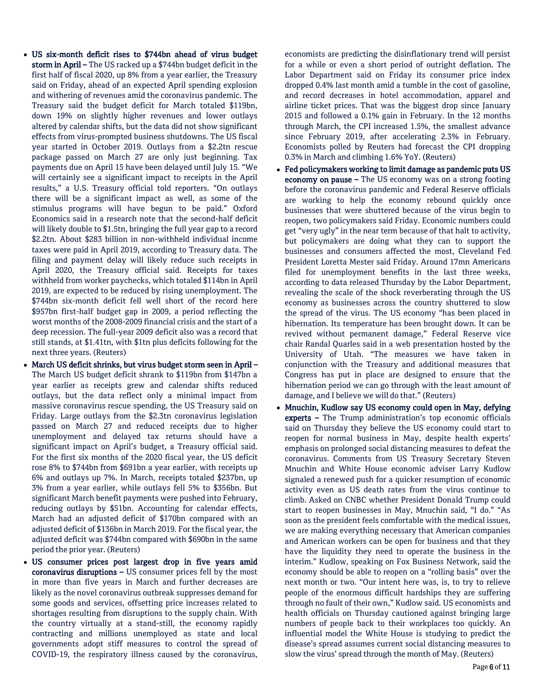- US six-month deficit rises to \$744bn ahead of virus budget storm in April – The US racked up a \$744bn budget deficit in the first half of fiscal 2020, up 8% from a year earlier, the Treasury said on Friday, ahead of an expected April spending explosion and withering of revenues amid the coronavirus pandemic. The Treasury said the budget deficit for March totaled \$119bn, down 19% on slightly higher revenues and lower outlays altered by calendar shifts, but the data did not show significant effects from virus-prompted business shutdowns. The US fiscal year started in October 2019. Outlays from a \$2.2tn rescue package passed on March 27 are only just beginning. Tax payments due on April 15 have been delayed until July 15. "We will certainly see a significant impact to receipts in the April results," a U.S. Treasury official told reporters. "On outlays there will be a significant impact as well, as some of the stimulus programs will have begun to be paid." Oxford Economics said in a research note that the second-half deficit will likely double to \$1.5tn, bringing the full year gap to a record \$2.2tn. About \$283 billion in non-withheld individual income taxes were paid in April 2019, according to Treasury data. The filing and payment delay will likely reduce such receipts in April 2020, the Treasury official said. Receipts for taxes withheld from worker paychecks, which totaled \$114bn in April 2019, are expected to be reduced by rising unemployment. The \$744bn six-month deficit fell well short of the record here \$957bn first-half budget gap in 2009, a period reflecting the worst months of the 2008-2009 financial crisis and the start of a deep recession. The full-year 2009 deficit also was a record that still stands, at \$1.41tn, with \$1tn plus deficits following for the next three years. (Reuters)
- March US deficit shrinks, but virus budget storm seen in April The March US budget deficit shrank to \$119bn from \$147bn a year earlier as receipts grew and calendar shifts reduced outlays, but the data reflect only a minimal impact from massive coronavirus rescue spending, the US Treasury said on Friday. Large outlays from the \$2.3tn coronavirus legislation passed on March 27 and reduced receipts due to higher unemployment and delayed tax returns should have a significant impact on April's budget, a Treasury official said. For the first six months of the 2020 fiscal year, the US deficit rose 8% to \$744bn from \$691bn a year earlier, with receipts up 6% and outlays up 7%. In March, receipts totaled \$237bn, up 3% from a year earlier, while outlays fell 5% to \$356bn. But significant March benefit payments were pushed into February, reducing outlays by \$51bn. Accounting for calendar effects, March had an adjusted deficit of \$170bn compared with an adjusted deficit of \$136bn in March 2019. For the fiscal year, the adjusted deficit was \$744bn compared with \$690bn in the same period the prior year. (Reuters)
- US consumer prices post largest drop in five years amid coronavirus disruptions – US consumer prices fell by the most in more than five years in March and further decreases are likely as the novel coronavirus outbreak suppresses demand for some goods and services, offsetting price increases related to shortages resulting from disruptions to the supply chain. With the country virtually at a stand-still, the economy rapidly contracting and millions unemployed as state and local governments adopt stiff measures to control the spread of COVID-19, the respiratory illness caused by the coronavirus,

economists are predicting the disinflationary trend will persist for a while or even a short period of outright deflation. The Labor Department said on Friday its consumer price index dropped 0.4% last month amid a tumble in the cost of gasoline, and record decreases in hotel accommodation, apparel and airline ticket prices. That was the biggest drop since January 2015 and followed a 0.1% gain in February. In the 12 months through March, the CPI increased 1.5%, the smallest advance since February 2019, after accelerating 2.3% in February. Economists polled by Reuters had forecast the CPI dropping 0.3% in March and climbing 1.6% YoY. (Reuters)

- Fed policymakers working to limit damage as pandemic puts US economy on pause – The US economy was on a strong footing before the coronavirus pandemic and Federal Reserve officials are working to help the economy rebound quickly once businesses that were shuttered because of the virus begin to reopen, two policymakers said Friday. Economic numbers could get "very ugly" in the near term because of that halt to activity, but policymakers are doing what they can to support the businesses and consumers affected the most, Cleveland Fed President Loretta Mester said Friday. Around 17mn Americans filed for unemployment benefits in the last three weeks, according to data released Thursday by the Labor Department, revealing the scale of the shock reverberating through the US economy as businesses across the country shuttered to slow the spread of the virus. The US economy "has been placed in hibernation. Its temperature has been brought down. It can be revived without permanent damage," Federal Reserve vice chair Randal Quarles said in a web presentation hosted by the University of Utah. "The measures we have taken in conjunction with the Treasury and additional measures that Congress has put in place are designed to ensure that the hibernation period we can go through with the least amount of damage, and I believe we will do that." (Reuters)
- Mnuchin, Kudlow say US economy could open in May, defying experts – The Trump administration's top economic officials said on Thursday they believe the US economy could start to reopen for normal business in May, despite health experts' emphasis on prolonged social distancing measures to defeat the coronavirus. Comments from US Treasury Secretary Steven Mnuchin and White House economic adviser Larry Kudlow signaled a renewed push for a quicker resumption of economic activity even as US death rates from the virus continue to climb. Asked on CNBC whether President Donald Trump could start to reopen businesses in May, Mnuchin said, "I do." "As soon as the president feels comfortable with the medical issues, we are making everything necessary that American companies and American workers can be open for business and that they have the liquidity they need to operate the business in the interim." Kudlow, speaking on Fox Business Network, said the economy should be able to reopen on a "rolling basis" over the next month or two. "Our intent here was, is, to try to relieve people of the enormous difficult hardships they are suffering through no fault of their own," Kudlow said. US economists and health officials on Thursday cautioned against bringing large numbers of people back to their workplaces too quickly. An influential model the White House is studying to predict the disease's spread assumes current social distancing measures to slow the virus' spread through the month of May. (Reuters)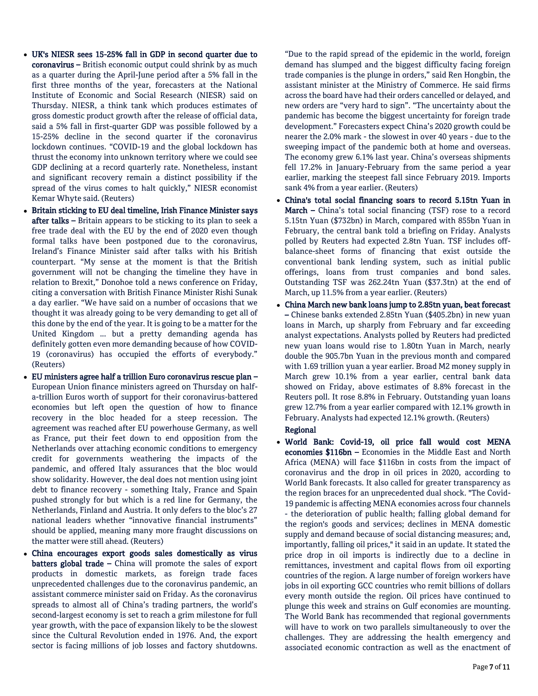- UK's NIESR sees 15-25% fall in GDP in second quarter due to coronavirus – British economic output could shrink by as much as a quarter during the April-June period after a 5% fall in the first three months of the year, forecasters at the National Institute of Economic and Social Research (NIESR) said on Thursday. NIESR, a think tank which produces estimates of gross domestic product growth after the release of official data, said a 5% fall in first-quarter GDP was possible followed by a 15-25% decline in the second quarter if the coronavirus lockdown continues. "COVID-19 and the global lockdown has thrust the economy into unknown territory where we could see GDP declining at a record quarterly rate. Nonetheless, instant and significant recovery remain a distinct possibility if the spread of the virus comes to halt quickly," NIESR economist Kemar Whyte said. (Reuters)
- Britain sticking to EU deal timeline, Irish Finance Minister says after talks – Britain appears to be sticking to its plan to seek a free trade deal with the EU by the end of 2020 even though formal talks have been postponed due to the coronavirus, Ireland's Finance Minister said after talks with his British counterpart. "My sense at the moment is that the British government will not be changing the timeline they have in relation to Brexit," Donohoe told a news conference on Friday, citing a conversation with British Finance Minister Rishi Sunak a day earlier. "We have said on a number of occasions that we thought it was already going to be very demanding to get all of this done by the end of the year. It is going to be a matter for the United Kingdom ... but a pretty demanding agenda has definitely gotten even more demanding because of how COVID-19 (coronavirus) has occupied the efforts of everybody." (Reuters)
- EU ministers agree half a trillion Euro coronavirus rescue plan European Union finance ministers agreed on Thursday on halfa-trillion Euros worth of support for their coronavirus-battered economies but left open the question of how to finance recovery in the bloc headed for a steep recession. The agreement was reached after EU powerhouse Germany, as well as France, put their feet down to end opposition from the Netherlands over attaching economic conditions to emergency credit for governments weathering the impacts of the pandemic, and offered Italy assurances that the bloc would show solidarity. However, the deal does not mention using joint debt to finance recovery - something Italy, France and Spain pushed strongly for but which is a red line for Germany, the Netherlands, Finland and Austria. It only defers to the bloc's 27 national leaders whether "innovative financial instruments" should be applied, meaning many more fraught discussions on the matter were still ahead. (Reuters)
- China encourages export goods sales domestically as virus batters global trade – China will promote the sales of export products in domestic markets, as foreign trade faces unprecedented challenges due to the coronavirus pandemic, an assistant commerce minister said on Friday. As the coronavirus spreads to almost all of China's trading partners, the world's second-largest economy is set to reach a grim milestone for full year growth, with the pace of expansion likely to be the slowest since the Cultural Revolution ended in 1976. And, the export sector is facing millions of job losses and factory shutdowns.

"Due to the rapid spread of the epidemic in the world, foreign demand has slumped and the biggest difficulty facing foreign trade companies is the plunge in orders," said Ren Hongbin, the assistant minister at the Ministry of Commerce. He said firms across the board have had their orders cancelled or delayed, and new orders are "very hard to sign". "The uncertainty about the pandemic has become the biggest uncertainty for foreign trade development." Forecasters expect China's 2020 growth could be nearer the 2.0% mark - the slowest in over 40 years - due to the sweeping impact of the pandemic both at home and overseas. The economy grew 6.1% last year. China's overseas shipments fell 17.2% in January-February from the same period a year earlier, marking the steepest fall since February 2019. Imports sank 4% from a year earlier. (Reuters)

- China's total social financing soars to record 5.15tn Yuan in March – China's total social financing (TSF) rose to a record 5.15tn Yuan (\$732bn) in March, compared with 855bn Yuan in February, the central bank told a briefing on Friday. Analysts polled by Reuters had expected 2.8tn Yuan. TSF includes offbalance-sheet forms of financing that exist outside the conventional bank lending system, such as initial public offerings, loans from trust companies and bond sales. Outstanding TSF was 262.24tn Yuan (\$37.3tn) at the end of March, up 11.5% from a year earlier. (Reuters)
- China March new bank loans jump to 2.85tn yuan, beat forecast – Chinese banks extended 2.85tn Yuan (\$405.2bn) in new yuan loans in March, up sharply from February and far exceeding analyst expectations. Analysts polled by Reuters had predicted new yuan loans would rise to 1.80tn Yuan in March, nearly double the 905.7bn Yuan in the previous month and compared with 1.69 trillion yuan a year earlier. Broad M2 money supply in March grew 10.1% from a year earlier, central bank data showed on Friday, above estimates of 8.8% forecast in the Reuters poll. It rose 8.8% in February. Outstanding yuan loans grew 12.7% from a year earlier compared with 12.1% growth in February. Analysts had expected 12.1% growth. (Reuters)

### Regional

 World Bank: Covid-19, oil price fall would cost MENA economies \$116bn – Economies in the Middle East and North Africa (MENA) will face \$116bn in costs from the impact of coronavirus and the drop in oil prices in 2020, according to World Bank forecasts. It also called for greater transparency as the region braces for an unprecedented dual shock. "The Covid-19 pandemic is affecting MENA economies across four channels - the deterioration of public health; falling global demand for the region's goods and services; declines in MENA domestic supply and demand because of social distancing measures; and, importantly, falling oil prices," it said in an update. It stated the price drop in oil imports is indirectly due to a decline in remittances, investment and capital flows from oil exporting countries of the region. A large number of foreign workers have jobs in oil exporting GCC countries who remit billions of dollars every month outside the region. Oil prices have continued to plunge this week and strains on Gulf economies are mounting. The World Bank has recommended that regional governments will have to work on two parallels simultaneously to over the challenges. They are addressing the health emergency and associated economic contraction as well as the enactment of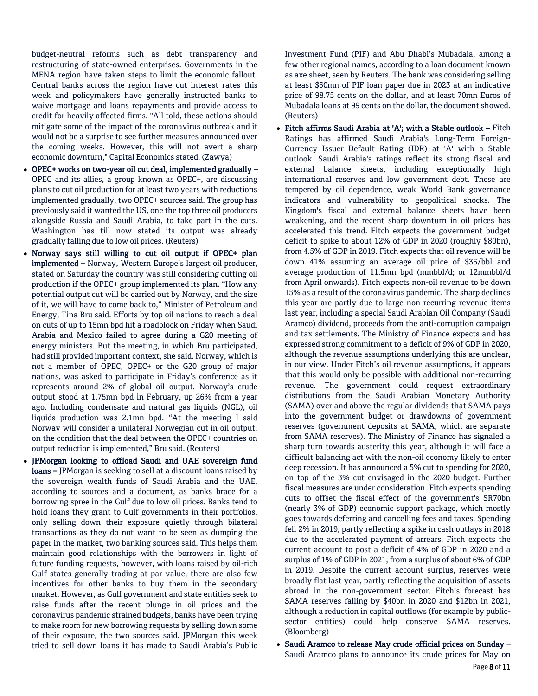budget-neutral reforms such as debt transparency and restructuring of state-owned enterprises. Governments in the MENA region have taken steps to limit the economic fallout. Central banks across the region have cut interest rates this week and policymakers have generally instructed banks to waive mortgage and loans repayments and provide access to credit for heavily affected firms. "All told, these actions should mitigate some of the impact of the coronavirus outbreak and it would not be a surprise to see further measures announced over the coming weeks. However, this will not avert a sharp economic downturn," Capital Economics stated. (Zawya)

- OPEC+ works on two-year oil cut deal, implemented gradually OPEC and its allies, a group known as OPEC+, are discussing plans to cut oil production for at least two years with reductions implemented gradually, two OPEC+ sources said. The group has previously said it wanted the US, one the top three oil producers alongside Russia and Saudi Arabia, to take part in the cuts. Washington has till now stated its output was already gradually falling due to low oil prices. (Reuters)
- Norway says still willing to cut oil output if OPEC+ plan implemented – Norway, Western Europe's largest oil producer, stated on Saturday the country was still considering cutting oil production if the OPEC+ group implemented its plan. "How any potential output cut will be carried out by Norway, and the size of it, we will have to come back to," Minister of Petroleum and Energy, Tina Bru said. Efforts by top oil nations to reach a deal on cuts of up to 15mn bpd hit a roadblock on Friday when Saudi Arabia and Mexico failed to agree during a G20 meeting of energy ministers. But the meeting, in which Bru participated, had still provided important context, she said. Norway, which is not a member of OPEC, OPEC+ or the G20 group of major nations, was asked to participate in Friday's conference as it represents around 2% of global oil output. Norway's crude output stood at 1.75mn bpd in February, up 26% from a year ago. Including condensate and natural gas liquids (NGL), oil liquids production was 2.1mn bpd. "At the meeting I said Norway will consider a unilateral Norwegian cut in oil output, on the condition that the deal between the OPEC+ countries on output reduction is implemented," Bru said. (Reuters)
- JPMorgan looking to offload Saudi and UAE sovereign fund loans – JPMorgan is seeking to sell at a discount loans raised by the sovereign wealth funds of Saudi Arabia and the UAE, according to sources and a document, as banks brace for a borrowing spree in the Gulf due to low oil prices. Banks tend to hold loans they grant to Gulf governments in their portfolios, only selling down their exposure quietly through bilateral transactions as they do not want to be seen as dumping the paper in the market, two banking sources said. This helps them maintain good relationships with the borrowers in light of future funding requests, however, with loans raised by oil-rich Gulf states generally trading at par value, there are also few incentives for other banks to buy them in the secondary market. However, as Gulf government and state entities seek to raise funds after the recent plunge in oil prices and the coronavirus pandemic strained budgets, banks have been trying to make room for new borrowing requests by selling down some of their exposure, the two sources said. JPMorgan this week tried to sell down loans it has made to Saudi Arabia's Public

Investment Fund (PIF) and Abu Dhabi's Mubadala, among a few other regional names, according to a loan document known as axe sheet, seen by Reuters. The bank was considering selling at least \$50mn of PIF loan paper due in 2023 at an indicative price of 98.75 cents on the dollar, and at least 70mn Euros of Mubadala loans at 99 cents on the dollar, the document showed. (Reuters)

- Fitch affirms Saudi Arabia at 'A'; with a Stable outlook Fitch Ratings has affirmed Saudi Arabia's Long-Term Foreign-Currency Issuer Default Rating (IDR) at 'A' with a Stable outlook. Saudi Arabia's ratings reflect its strong fiscal and external balance sheets, including exceptionally high international reserves and low government debt. These are tempered by oil dependence, weak World Bank governance indicators and vulnerability to geopolitical shocks. The Kingdom's fiscal and external balance sheets have been weakening, and the recent sharp downturn in oil prices has accelerated this trend. Fitch expects the government budget deficit to spike to about 12% of GDP in 2020 (roughly \$80bn), from 4.5% of GDP in 2019. Fitch expects that oil revenue will be down 41% assuming an average oil price of \$35/bbl and average production of 11.5mn bpd (mmbbl/d; or 12mmbbl/d from April onwards). Fitch expects non-oil revenue to be down 15% as a result of the coronavirus pandemic. The sharp declines this year are partly due to large non-recurring revenue items last year, including a special Saudi Arabian Oil Company (Saudi Aramco) dividend, proceeds from the anti-corruption campaign and tax settlements. The Ministry of Finance expects and has expressed strong commitment to a deficit of 9% of GDP in 2020, although the revenue assumptions underlying this are unclear, in our view. Under Fitch's oil revenue assumptions, it appears that this would only be possible with additional non-recurring revenue. The government could request extraordinary distributions from the Saudi Arabian Monetary Authority (SAMA) over and above the regular dividends that SAMA pays into the government budget or drawdowns of government reserves (government deposits at SAMA, which are separate from SAMA reserves). The Ministry of Finance has signaled a sharp turn towards austerity this year, although it will face a difficult balancing act with the non-oil economy likely to enter deep recession. It has announced a 5% cut to spending for 2020, on top of the 3% cut envisaged in the 2020 budget. Further fiscal measures are under consideration. Fitch expects spending cuts to offset the fiscal effect of the government's SR70bn (nearly 3% of GDP) economic support package, which mostly goes towards deferring and cancelling fees and taxes. Spending fell 2% in 2019, partly reflecting a spike in cash outlays in 2018 due to the accelerated payment of arrears. Fitch expects the current account to post a deficit of 4% of GDP in 2020 and a surplus of 1% of GDP in 2021, from a surplus of about 6% of GDP in 2019. Despite the current account surplus, reserves were broadly flat last year, partly reflecting the acquisition of assets abroad in the non-government sector. Fitch's forecast has SAMA reserves falling by \$40bn in 2020 and \$12bn in 2021, although a reduction in capital outflows (for example by publicsector entities) could help conserve SAMA reserves. (Bloomberg)
- Saudi Aramco to release May crude official prices on Sunday Saudi Aramco plans to announce its crude prices for May on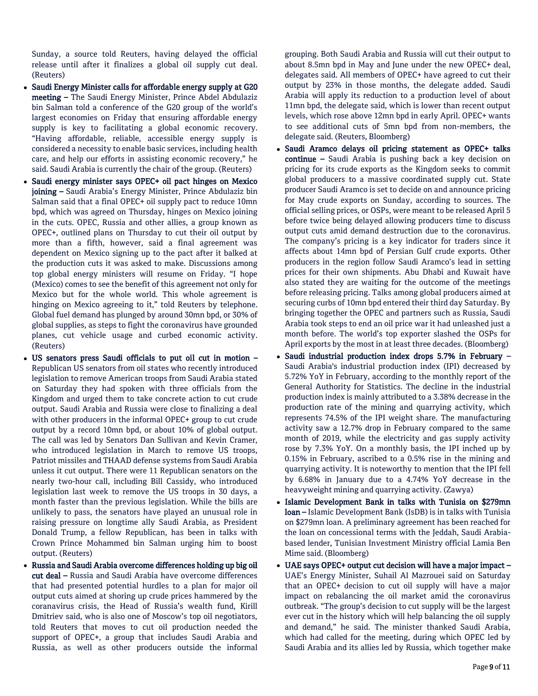Sunday, a source told Reuters, having delayed the official release until after it finalizes a global oil supply cut deal. (Reuters)

- Saudi Energy Minister calls for affordable energy supply at G20 meeting – The Saudi Energy Minister, Prince Abdel Abdulaziz bin Salman told a conference of the G20 group of the world's largest economies on Friday that ensuring affordable energy supply is key to facilitating a global economic recovery. "Having affordable, reliable, accessible energy supply is considered a necessity to enable basic services, including health care, and help our efforts in assisting economic recovery," he said. Saudi Arabia is currently the chair of the group. (Reuters)
- Saudi energy minister says OPEC+ oil pact hinges on Mexico joining - Saudi Arabia's Energy Minister, Prince Abdulaziz bin Salman said that a final OPEC+ oil supply pact to reduce 10mn bpd, which was agreed on Thursday, hinges on Mexico joining in the cuts. OPEC, Russia and other allies, a group known as OPEC+, outlined plans on Thursday to cut their oil output by more than a fifth, however, said a final agreement was dependent on Mexico signing up to the pact after it balked at the production cuts it was asked to make. Discussions among top global energy ministers will resume on Friday. "I hope (Mexico) comes to see the benefit of this agreement not only for Mexico but for the whole world. This whole agreement is hinging on Mexico agreeing to it," told Reuters by telephone. Global fuel demand has plunged by around 30mn bpd, or 30% of global supplies, as steps to fight the coronavirus have grounded planes, cut vehicle usage and curbed economic activity. (Reuters)
- US senators press Saudi officials to put oil cut in motion Republican US senators from oil states who recently introduced legislation to remove American troops from Saudi Arabia stated on Saturday they had spoken with three officials from the Kingdom and urged them to take concrete action to cut crude output. Saudi Arabia and Russia were close to finalizing a deal with other producers in the informal OPEC+ group to cut crude output by a record 10mn bpd, or about 10% of global output. The call was led by Senators Dan Sullivan and Kevin Cramer, who introduced legislation in March to remove US troops, Patriot missiles and THAAD defense systems from Saudi Arabia unless it cut output. There were 11 Republican senators on the nearly two-hour call, including Bill Cassidy, who introduced legislation last week to remove the US troops in 30 days, a month faster than the previous legislation. While the bills are unlikely to pass, the senators have played an unusual role in raising pressure on longtime ally Saudi Arabia, as President Donald Trump, a fellow Republican, has been in talks with Crown Prince Mohammed bin Salman urging him to boost output. (Reuters)
- Russia and Saudi Arabia overcome differences holding up big oil cut deal – Russia and Saudi Arabia have overcome differences that had presented potential hurdles to a plan for major oil output cuts aimed at shoring up crude prices hammered by the coranavirus crisis, the Head of Russia's wealth fund, Kirill Dmitriev said, who is also one of Moscow's top oil negotiators, told Reuters that moves to cut oil production needed the support of OPEC+, a group that includes Saudi Arabia and Russia, as well as other producers outside the informal

grouping. Both Saudi Arabia and Russia will cut their output to about 8.5mn bpd in May and June under the new OPEC+ deal, delegates said. All members of OPEC+ have agreed to cut their output by 23% in those months, the delegate added. Saudi Arabia will apply its reduction to a production level of about 11mn bpd, the delegate said, which is lower than recent output levels, which rose above 12mn bpd in early April. OPEC+ wants to see additional cuts of 5mn bpd from non-members, the delegate said. (Reuters, Bloomberg)

- Saudi Aramco delays oil pricing statement as OPEC+ talks continue – Saudi Arabia is pushing back a key decision on pricing for its crude exports as the Kingdom seeks to commit global producers to a massive coordinated supply cut. State producer Saudi Aramco is set to decide on and announce pricing for May crude exports on Sunday, according to sources. The official selling prices, or OSPs, were meant to be released April 5 before twice being delayed allowing producers time to discuss output cuts amid demand destruction due to the coronavirus. The company's pricing is a key indicator for traders since it affects about 14mn bpd of Persian Gulf crude exports. Other producers in the region follow Saudi Aramco's lead in setting prices for their own shipments. Abu Dhabi and Kuwait have also stated they are waiting for the outcome of the meetings before releasing pricing. Talks among global producers aimed at securing curbs of 10mn bpd entered their third day Saturday. By bringing together the OPEC and partners such as Russia, Saudi Arabia took steps to end an oil price war it had unleashed just a month before. The world's top exporter slashed the OSPs for April exports by the most in at least three decades. (Bloomberg)
- Saudi industrial production index drops 5.7% in February Saudi Arabia's industrial production index (IPI) decreased by 5.72% YoY in February, according to the monthly report of the General Authority for Statistics. The decline in the industrial production index is mainly attributed to a 3.38% decrease in the production rate of the mining and quarrying activity, which represents 74.5% of the IPI weight share. The manufacturing activity saw a 12.7% drop in February compared to the same month of 2019, while the electricity and gas supply activity rose by 7.3% YoY. On a monthly basis, the IPI inched up by 0.15% in February, ascribed to a 0.5% rise in the mining and quarrying activity. It is noteworthy to mention that the IPI fell by 6.68% in January due to a 4.74% YoY decrease in the heavyweight mining and quarrying activity. (Zawya)
- Islamic Development Bank in talks with Tunisia on \$279mn loan – Islamic Development Bank (IsDB) is in talks with Tunisia on \$279mn loan. A preliminary agreement has been reached for the loan on concessional terms with the Jeddah, Saudi Arabiabased lender, Tunisian Investment Ministry official Lamia Ben Mime said. (Bloomberg)
- UAE says OPEC+ output cut decision will have a major impact UAE's Energy Minister, Suhail Al Mazrouei said on Saturday that an OPEC+ decision to cut oil supply will have a major impact on rebalancing the oil market amid the coronavirus outbreak. "The group's decision to cut supply will be the largest ever cut in the history which will help balancing the oil supply and demand," he said. The minister thanked Saudi Arabia, which had called for the meeting, during which OPEC led by Saudi Arabia and its allies led by Russia, which together make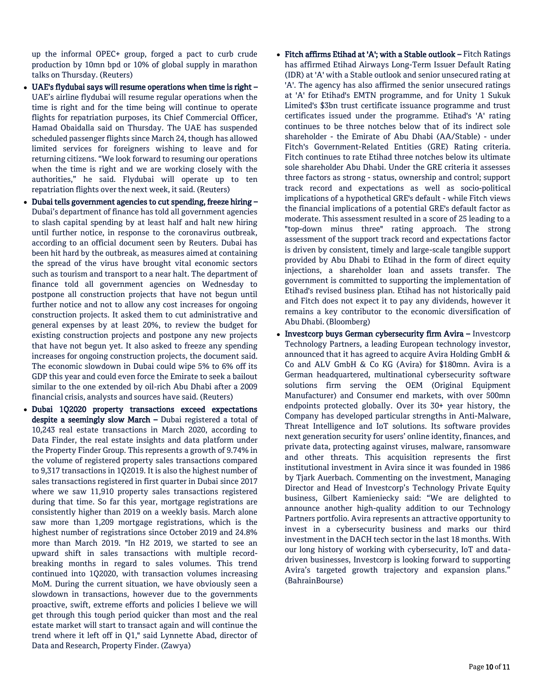up the informal OPEC+ group, forged a pact to curb crude production by 10mn bpd or 10% of global supply in marathon talks on Thursday. (Reuters)

- UAE's flydubai says will resume operations when time is right UAE's airline flydubai will resume regular operations when the time is right and for the time being will continue to operate flights for repatriation purposes, its Chief Commercial Officer, Hamad Obaidalla said on Thursday. The UAE has suspended scheduled passenger flights since March 24, though has allowed limited services for foreigners wishing to leave and for returning citizens. "We look forward to resuming our operations when the time is right and we are working closely with the authorities," he said. Flydubai will operate up to ten repatriation flights over the next week, it said. (Reuters)
- Dubai tells government agencies to cut spending, freeze hiring Dubai's department of finance has told all government agencies to slash capital spending by at least half and halt new hiring until further notice, in response to the coronavirus outbreak, according to an official document seen by Reuters. Dubai has been hit hard by the outbreak, as measures aimed at containing the spread of the virus have brought vital economic sectors such as tourism and transport to a near halt. The department of finance told all government agencies on Wednesday to postpone all construction projects that have not begun until further notice and not to allow any cost increases for ongoing construction projects. It asked them to cut administrative and general expenses by at least 20%, to review the budget for existing construction projects and postpone any new projects that have not begun yet. It also asked to freeze any spending increases for ongoing construction projects, the document said. The economic slowdown in Dubai could wipe 5% to 6% off its GDP this year and could even force the Emirate to seek a bailout similar to the one extended by oil-rich Abu Dhabi after a 2009 financial crisis, analysts and sources have said. (Reuters)
- Dubai 1Q2020 property transactions exceed expectations despite a seemingly slow March – Dubai registered a total of 10,243 real estate transactions in March 2020, according to Data Finder, the real estate insights and data platform under the Property Finder Group. This represents a growth of 9.74% in the volume of registered property sales transactions compared to 9,317 transactions in 1Q2019. It is also the highest number of sales transactions registered in first quarter in Dubai since 2017 where we saw 11,910 property sales transactions registered during that time. So far this year, mortgage registrations are consistently higher than 2019 on a weekly basis. March alone saw more than 1,209 mortgage registrations, which is the highest number of registrations since October 2019 and 24.8% more than March 2019. "In H2 2019, we started to see an upward shift in sales transactions with multiple recordbreaking months in regard to sales volumes. This trend continued into 1Q2020, with transaction volumes increasing MoM. During the current situation, we have obviously seen a slowdown in transactions, however due to the governments proactive, swift, extreme efforts and policies I believe we will get through this tough period quicker than most and the real estate market will start to transact again and will continue the trend where it left off in Q1," said Lynnette Abad, director of Data and Research, Property Finder. (Zawya)
- Fitch affirms Etihad at 'A'; with a Stable outlook Fitch Ratings has affirmed Etihad Airways Long-Term Issuer Default Rating (IDR) at 'A' with a Stable outlook and senior unsecured rating at 'A'. The agency has also affirmed the senior unsecured ratings at 'A' for Etihad's EMTN programme, and for Unity 1 Sukuk Limited's \$3bn trust certificate issuance programme and trust certificates issued under the programme. Etihad's 'A' rating continues to be three notches below that of its indirect sole shareholder - the Emirate of Abu Dhabi (AA/Stable) - under Fitch's Government-Related Entities (GRE) Rating criteria. Fitch continues to rate Etihad three notches below its ultimate sole shareholder Abu Dhabi. Under the GRE criteria it assesses three factors as strong - status, ownership and control; support track record and expectations as well as socio-political implications of a hypothetical GRE's default - while Fitch views the financial implications of a potential GRE's default factor as moderate. This assessment resulted in a score of 25 leading to a "top-down minus three" rating approach. The strong assessment of the support track record and expectations factor is driven by consistent, timely and large-scale tangible support provided by Abu Dhabi to Etihad in the form of direct equity injections, a shareholder loan and assets transfer. The government is committed to supporting the implementation of Etihad's revised business plan. Etihad has not historically paid and Fitch does not expect it to pay any dividends, however it remains a key contributor to the economic diversification of Abu Dhabi. (Bloomberg)
- Investcorp buys German cybersecurity firm Avira Investcorp Technology Partners, a leading European technology investor, announced that it has agreed to acquire Avira Holding GmbH & Co and ALV GmbH & Co KG (Avira) for \$180mn. Avira is a German headquartered, multinational cybersecurity software solutions firm serving the OEM (Original Equipment Manufacturer) and Consumer end markets, with over 500mn endpoints protected globally. Over its 30+ year history, the Company has developed particular strengths in Anti-Malware, Threat Intelligence and IoT solutions. Its software provides next generation security for users' online identity, finances, and private data, protecting against viruses, malware, ransomware and other threats. This acquisition represents the first institutional investment in Avira since it was founded in 1986 by Tjark Auerbach. Commenting on the investment, Managing Director and Head of Investcorp's Technology Private Equity business, Gilbert Kamieniecky said: "We are delighted to announce another high-quality addition to our Technology Partners portfolio. Avira represents an attractive opportunity to invest in a cybersecurity business and marks our third investment in the DACH tech sector in the last 18 months. With our long history of working with cybersecurity, IoT and datadriven businesses, Investcorp is looking forward to supporting Avira's targeted growth trajectory and expansion plans." (BahrainBourse)